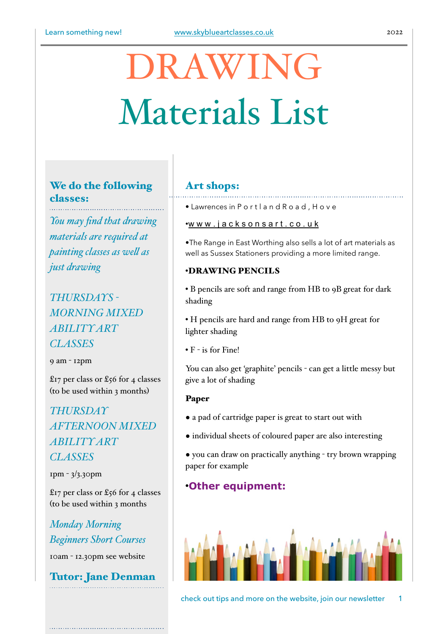# DRAWING Materials List

## We do the following classes:

*You may find that drawing materials are required at painting classes as wel as just drawing*

# *THURSDAYS - MORNING MIXED ABILITY ART CLASSES*

9 am - 12pm

£17 per class or £56 for 4 classes (to be used within 3 months)

*THURSDAY AFTERNOON MIXED ABILITY ART CLASSES*

1pm - 3/3.30pm

£17 per class or £56 for 4 classes (to be used within 3 months

*Monday Morning Beginners Short Courses* 10am - 12.30pm see website

Tutor: Jane Denman

### Art shops:

• Lawrences in P o r t l a n d R o a d , H o v e

#### [•w w w . j a c k s o n s a r t . c o . u k](http://www.jacksonsart.co.uk)

•The Range in East Worthing also sells a lot of art materials as well as Sussex Stationers providing a more limited range.

#### •DRAWING PENCILS

• B pencils are soft and range from HB to 9B great for dark shading

• H pencils are hard and range from HB to 9H great for lighter shading

• F - is for Fine!

You can also get 'graphite' pencils - can get a little messy but give a lot of shading

#### Paper

- a pad of cartridge paper is great to start out with
- individual sheets of coloured paper are also interesting
- you can draw on practically anything try brown wrapping paper for example

## •**Other equipment:**